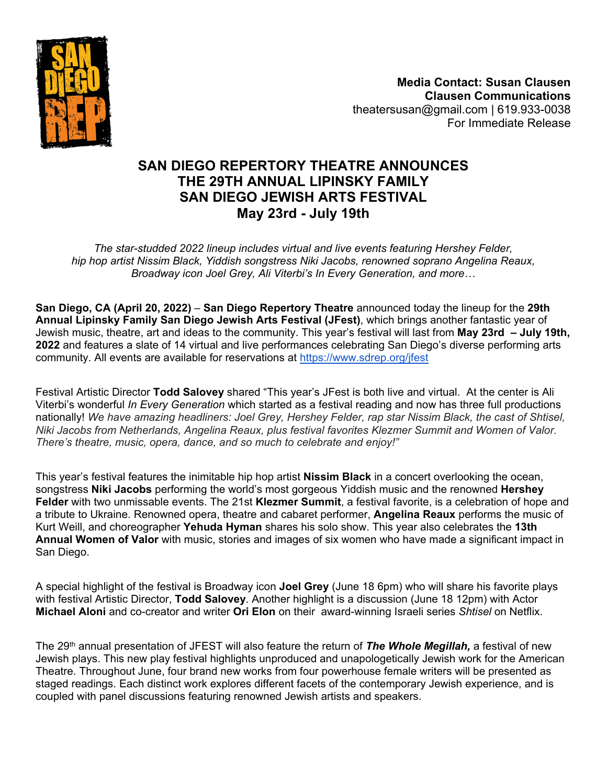

**Media Contact: Susan Clausen Clausen Communications** theatersusan@gmail.com | 619.933-0038 For Immediate Release

# **SAN DIEGO REPERTORY THEATRE ANNOUNCES THE 29TH ANNUAL LIPINSKY FAMILY SAN DIEGO JEWISH ARTS FESTIVAL May 23rd - July 19th**

*The star-studded 2022 lineup includes virtual and live events featuring Hershey Felder, hip hop artist Nissim Black, Yiddish songstress Niki Jacobs, renowned soprano Angelina Reaux, Broadway icon Joel Grey, Ali Viterbi's In Every Generation, and more…*

**San Diego, CA (April 20, 2022)** – **San Diego Repertory Theatre** announced today the lineup for the **29th Annual Lipinsky Family San Diego Jewish Arts Festival (JFest)**, which brings another fantastic year of Jewish music, theatre, art and ideas to the community. This year's festival will last from **May 23rd – July 19th, 2022** and features a slate of 14 virtual and live performances celebrating San Diego's diverse performing arts community. All events are available for reservations at<https://www.sdrep.org/jfest>

Festival Artistic Director **Todd Salovey** shared "This year's JFest is both live and virtual. At the center is Ali Viterbi's wonderful *In Every Generation* which started as a festival reading and now has three full productions nationally! *We have amazing headliners: Joel Grey, Hershey Felder, rap star Nissim Black, the cast of Shtisel, Niki Jacobs from Netherlands, Angelina Reaux, plus festival favorites Klezmer Summit and Women of Valor. There's theatre, music, opera, dance, and so much to celebrate and enjoy!"* 

This year's festival features the inimitable hip hop artist **Nissim Black** in a concert overlooking the ocean, songstress **Niki Jacobs** performing the world's most gorgeous Yiddish music and the renowned **Hershey Felder** with two unmissable events. The 21st **Klezmer Summit**, a festival favorite, is a celebration of hope and a tribute to Ukraine. Renowned opera, theatre and cabaret performer, **Angelina Reaux** performs the music of Kurt Weill, and choreographer **Yehuda Hyman** shares his solo show. This year also celebrates the **13th Annual Women of Valor** with music, stories and images of six women who have made a significant impact in San Diego.

A special highlight of the festival is Broadway icon **Joel Grey** (June 18 6pm) who will share his favorite plays with festival Artistic Director, **Todd Salovey**. Another highlight is a discussion (June 18 12pm) with Actor **Michael Aloni** and co-creator and writer **Ori Elon** on their award-winning Israeli series *Shtisel* on Netflix.

The 29<sup>th</sup> annual presentation of JFEST will also feature the return of **The Whole Megillah,** a festival of new Jewish plays. This new play festival highlights unproduced and unapologetically Jewish work for the American Theatre. Throughout June, four brand new works from four powerhouse female writers will be presented as staged readings. Each distinct work explores different facets of the contemporary Jewish experience, and is coupled with panel discussions featuring renowned Jewish artists and speakers.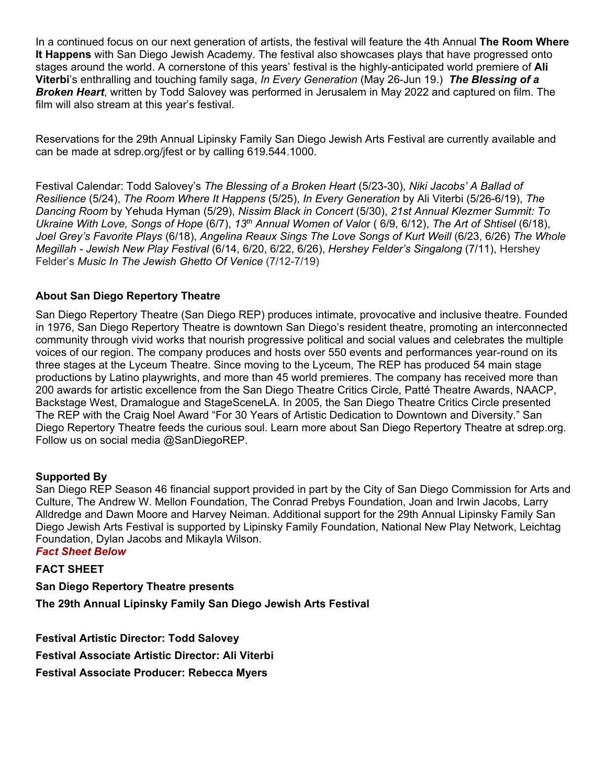In a continued focus on our next generation of artists, the festival will feature the 4th Annual **The Room Where It Happens** with San Diego Jewish Academy. The festival also showcases plays that have progressed onto stages around the world. A cornerstone of this years' festival is the highly-anticipated world premiere of **Ali Viterbi**'s enthralling and touching family saga, *In Every Generation* (May 26-Jun 19.) *The Blessing of a Broken Heart*, written by Todd Salovey was performed in Jerusalem in May 2022 and captured on film. The film will also stream at this year's festival.

Reservations for the 29th Annual Lipinsky Family San Diego Jewish Arts Festival are currently available and can be made at sdrep.org/jfest or by calling 619.544.1000.

Festival Calendar: Todd Salovey's *The Blessing of a Broken Heart* (5/23-30), *Niki Jacobs' A Ballad of Resilience* (5/24), *The Room Where It Happens* (5/25), *In Every Generation* by Ali Viterbi (5/26-6/19), *The Dancing Room* by Yehuda Hyman (5/29), *Nissim Black in Concert* (5/30), *21st Annual Klezmer Summit: To Ukraine With Love, Songs of Hope* (6/7), *13th Annual Women of Valo*r ( 6/9, 6/12), *The Art of Shtisel* (6/18), *Joel Grey's Favorite Plays* (6/18), *Angelina Reaux Sings The Love Songs of Kurt Weill* (6/23, 6/26) *The Whole Megillah - Jewish New Play Festival* (6/14, 6/20, 6/22, 6/26), *Hershey Felder's Singalong* (7/11), Hershey Felder's *Music In The Jewish Ghetto Of Venice* (7/12-7/19)

### **About San Diego Repertory Theatre**

San Diego Repertory Theatre (San Diego REP) produces intimate, provocative and inclusive theatre. Founded in 1976, San Diego Repertory Theatre is downtown San Diego's resident theatre, promoting an interconnected community through vivid works that nourish progressive political and social values and celebrates the multiple voices of our region. The company produces and hosts over 550 events and performances year-round on its three stages at the Lyceum Theatre. Since moving to the Lyceum, The REP has produced 54 main stage productions by Latino playwrights, and more than 45 world premieres. The company has received more than 200 awards for artistic excellence from the San Diego Theatre Critics Circle, Patté Theatre Awards, NAACP, Backstage West, Dramalogue and StageSceneLA. In 2005, the San Diego Theatre Critics Circle presented The REP with the Craig Noel Award "For 30 Years of Artistic Dedication to Downtown and Diversity." San Diego Repertory Theatre feeds the curious soul. Learn more about San Diego Repertory Theatre at sdrep.org. Follow us on social media @SanDiegoREP.

### **Supported By**

San Diego REP Season 46 financial support provided in part by the City of San Diego Commission for Arts and Culture, The Andrew W. Mellon Foundation, The Conrad Prebys Foundation, Joan and Irwin Jacobs, Larry Alldredge and Dawn Moore and Harvey Neiman. Additional support for the 29th Annual Lipinsky Family San Diego Jewish Arts Festival is supported by Lipinsky Family Foundation, National New Play Network, Leichtag Foundation, Dylan Jacobs and Mikayla Wilson.

#### *Fact Sheet Below*

#### **FACT SHEET**

**San Diego Repertory Theatre presents The 29th Annual Lipinsky Family San Diego Jewish Arts Festival** 

**Festival Artistic Director: Todd Salovey Festival Associate Artistic Director: Ali Viterbi Festival Associate Producer: Rebecca Myers**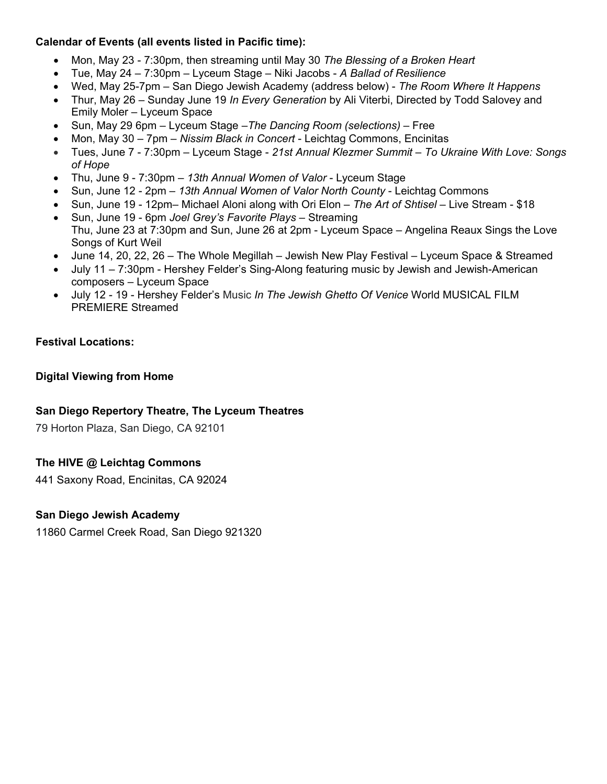### **Calendar of Events (all events listed in Pacific time):**

- Mon, May 23 7:30pm, then streaming until May 30 *The Blessing of a Broken Heart*
- Tue, May 24 7:30pm Lyceum Stage Niki Jacobs *A Ballad of Resilience*
- Wed, May 25-7pm San Diego Jewish Academy (address below) *The Room Where It Happens*
- Thur, May 26 Sunday June 19 *In Every Generation* by Ali Viterbi, Directed by Todd Salovey and Emily Moler – Lyceum Space
- Sun, May 29 6pm Lyceum Stage –*The Dancing Room (selections) –* Free
- Mon, May 30 7pm *Nissim Black in Concert* Leichtag Commons, Encinitas
- Tues, June 7 7:30pm Lyceum Stage *21st Annual Klezmer Summit To Ukraine With Love: Songs of Hope*
- Thu, June 9 7:30pm *13th Annual Women of Valor* Lyceum Stage
- Sun, June 12 2pm *13th Annual Women of Valor North County* Leichtag Commons
- Sun, June 19 12pm– Michael Aloni along with Ori Elon *The Art of Shtisel* Live Stream \$18
- Sun, June 19 6pm *Joel Grey's Favorite Plays* Streaming Thu, June 23 at 7:30pm and Sun, June 26 at 2pm - Lyceum Space – Angelina Reaux Sings the Love Songs of Kurt Weil
- June 14, 20, 22, 26 The Whole Megillah Jewish New Play Festival Lyceum Space & Streamed
- July 11 7:30pm Hershey Felder's Sing-Along featuring music by Jewish and Jewish-American composers – Lyceum Space
- July 12 19 Hershey Felder's Music *In The Jewish Ghetto Of Venice* World MUSICAL FILM PREMIERE Streamed

### **Festival Locations:**

### **Digital Viewing from Home**

### **San Diego Repertory Theatre, The Lyceum Theatres**

79 Horton Plaza, San Diego, CA 92101

### **The HIVE @ Leichtag Commons**

441 Saxony Road, Encinitas, CA 92024

### **San Diego Jewish Academy**

11860 Carmel Creek Road, San Diego 921320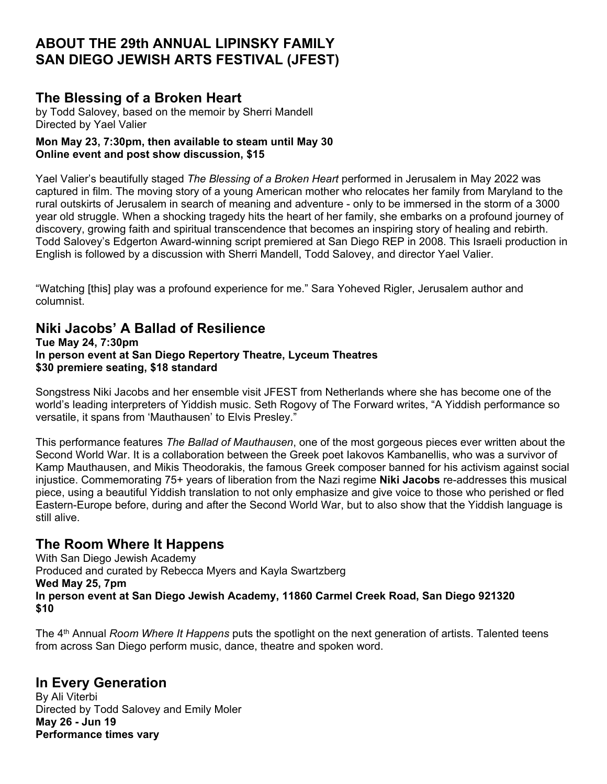# **ABOUT THE 29th ANNUAL LIPINSKY FAMILY SAN DIEGO JEWISH ARTS FESTIVAL (JFEST)**

### **The Blessing of a Broken Heart**

by Todd Salovey, based on the memoir by Sherri Mandell Directed by Yael Valier

### **Mon May 23, 7:30pm, then available to steam until May 30 Online event and post show discussion, \$15**

Yael Valier's beautifully staged *The Blessing of a Broken Heart* performed in Jerusalem in May 2022 was captured in film. The moving story of a young American mother who relocates her family from Maryland to the rural outskirts of Jerusalem in search of meaning and adventure - only to be immersed in the storm of a 3000 year old struggle. When a shocking tragedy hits the heart of her family, she embarks on a profound journey of discovery, growing faith and spiritual transcendence that becomes an inspiring story of healing and rebirth. Todd Salovey's Edgerton Award-winning script premiered at San Diego REP in 2008. This Israeli production in English is followed by a discussion with Sherri Mandell, Todd Salovey, and director Yael Valier.

"Watching [this] play was a profound experience for me." Sara Yoheved Rigler, Jerusalem author and columnist.

# **Niki Jacobs' A Ballad of Resilience**

**Tue May 24, 7:30pm In person event at San Diego Repertory Theatre, Lyceum Theatres \$30 premiere seating, \$18 standard**

Songstress Niki Jacobs and her ensemble visit JFEST from Netherlands where she has become one of the world's leading interpreters of Yiddish music. Seth Rogovy of The Forward writes, "A Yiddish performance so versatile, it spans from 'Mauthausen' to Elvis Presley."

This performance features *The Ballad of Mauthausen*, one of the most gorgeous pieces ever written about the Second World War. It is a collaboration between the Greek poet Iakovos Kambanellis, who was a survivor of Kamp Mauthausen, and Mikis Theodorakis, the famous Greek composer banned for his activism against social injustice. Commemorating 75+ years of liberation from the Nazi regime **Niki Jacobs** re-addresses this musical piece, using a beautiful Yiddish translation to not only emphasize and give voice to those who perished or fled Eastern-Europe before, during and after the Second World War, but to also show that the Yiddish language is still alive.

## **The Room Where It Happens**

With San Diego Jewish Academy Produced and curated by Rebecca Myers and Kayla Swartzberg **Wed May 25, 7pm In person event at San Diego Jewish Academy, 11860 Carmel Creek Road, San Diego 921320 \$10**

The 4th Annual *Room Where It Happens* puts the spotlight on the next generation of artists. Talented teens from across San Diego perform music, dance, theatre and spoken word.

## **In Every Generation**

By Ali Viterbi Directed by Todd Salovey and Emily Moler **May 26 - Jun 19 Performance times vary**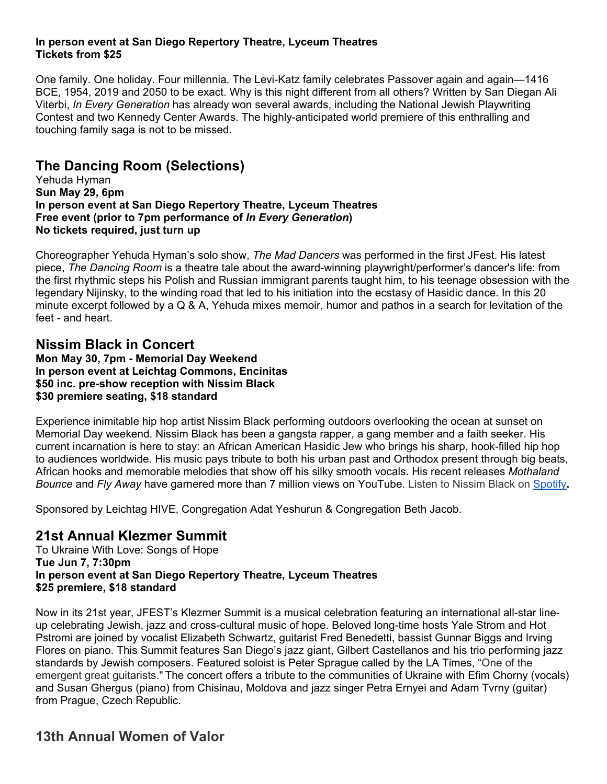#### **In person event at San Diego Repertory Theatre, Lyceum Theatres Tickets from \$25**

One family. One holiday. Four millennia. The Levi-Katz family celebrates Passover again and again—1416 BCE, 1954, 2019 and 2050 to be exact. Why is this night different from all others? Written by San Diegan Ali Viterbi, *In Every Generation* has already won several awards, including the National Jewish Playwriting Contest and two Kennedy Center Awards. The highly-anticipated world premiere of this enthralling and touching family saga is not to be missed.

# **The Dancing Room (Selections)**

Yehuda Hyman **Sun May 29, 6pm In person event at San Diego Repertory Theatre, Lyceum Theatres Free event (prior to 7pm performance of** *In Every Generation***) No tickets required, just turn up**

Choreographer Yehuda Hyman's solo show, *The Mad Dancers* was performed in the first JFest. His latest piece, *The Dancing Room* is a theatre tale about the award-winning playwright/performer's dancer's life: from the first rhythmic steps his Polish and Russian immigrant parents taught him, to his teenage obsession with the legendary Nijinsky, to the winding road that led to his initiation into the ecstasy of Hasidic dance. In this 20 minute excerpt followed by a Q & A, Yehuda mixes memoir, humor and pathos in a search for levitation of the feet - and heart.

**Nissim Black in Concert Mon May 30, 7pm - Memorial Day Weekend In person event at Leichtag Commons, Encinitas \$50 inc. pre-show reception with Nissim Black \$30 premiere seating, \$18 standard** 

Experience inimitable hip hop artist Nissim Black performing outdoors overlooking the ocean at sunset on Memorial Day weekend. Nissim Black has been a gangsta rapper, a gang member and a faith seeker. His current incarnation is here to stay: an African American Hasidic Jew who brings his sharp, hook-filled hip hop to audiences worldwide. His music pays tribute to both his urban past and Orthodox present through big beats, African hooks and memorable melodies that show off his silky smooth vocals. His recent releases *Mothaland Bounce* and *Fly Away* have garnered more than 7 million views on YouTube. Listen to Nissim Black on [Spotify](https://open.spotify.com/artist/04QgfIIHBRS0b6XiY3kYYy?si=zSx9UoLFTvSz4aNnasTE3A)**.** 

Sponsored by Leichtag HIVE, Congregation Adat Yeshurun & Congregation Beth Jacob.

## **21st Annual Klezmer Summit**

To Ukraine With Love: Songs of Hope **Tue Jun 7, 7:30pm In person event at San Diego Repertory Theatre, Lyceum Theatres \$25 premiere, \$18 standard**

Now in its 21st year, JFEST's Klezmer Summit is a musical celebration featuring an international all-star lineup celebrating Jewish, jazz and cross-cultural music of hope. Beloved long-time hosts Yale Strom and Hot Pstromi are joined by vocalist Elizabeth Schwartz, guitarist Fred Benedetti, bassist Gunnar Biggs and Irving Flores on piano. This Summit features San Diego's jazz giant, Gilbert Castellanos and his trio performing jazz standards by Jewish composers. Featured soloist is Peter Sprague called by the LA Times, "One of the emergent great guitarists." The concert offers a tribute to the communities of Ukraine with Efim Chorny (vocals) and Susan Ghergus (piano) from Chisinau, Moldova and jazz singer Petra Ernyei and Adam Tvrny (guitar) from Prague, Czech Republic.

# **13th Annual Women of Valor**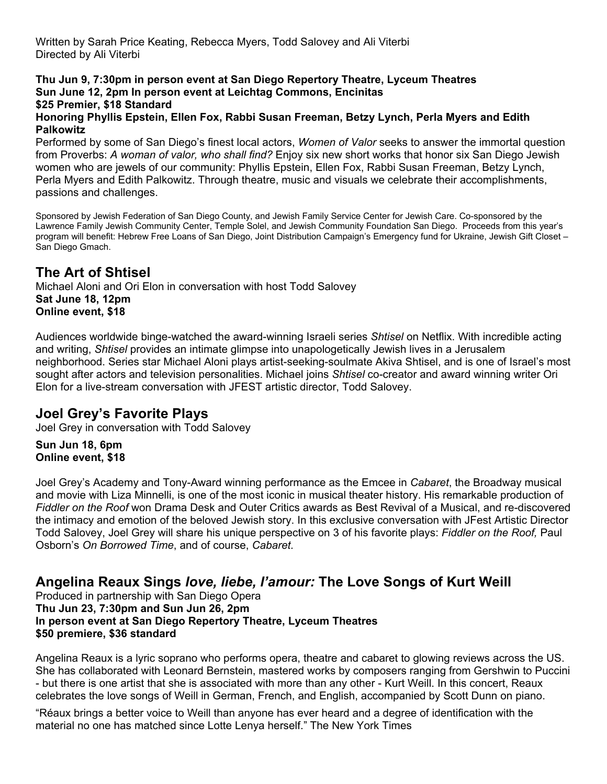### **Thu Jun 9, 7:30pm in person event at San Diego Repertory Theatre, Lyceum Theatres Sun June 12, 2pm In person event at Leichtag Commons, Encinitas \$25 Premier, \$18 Standard**

#### **Honoring Phyllis Epstein, Ellen Fox, Rabbi Susan Freeman, Betzy Lynch, Perla Myers and Edith Palkowitz**

Performed by some of San Diego's finest local actors, *Women of Valor* seeks to answer the immortal question from Proverbs: *A woman of valor, who shall find?* Enjoy six new short works that honor six San Diego Jewish women who are jewels of our community: Phyllis Epstein, Ellen Fox, Rabbi Susan Freeman, Betzy Lynch, Perla Myers and Edith Palkowitz. Through theatre, music and visuals we celebrate their accomplishments, passions and challenges.

Sponsored by Jewish Federation of San Diego County, and Jewish Family Service Center for Jewish Care. Co-sponsored by the Lawrence Family Jewish Community Center, Temple Solel, and Jewish Community Foundation San Diego. Proceeds from this year's program will benefit: Hebrew Free Loans of San Diego, Joint Distribution Campaign's Emergency fund for Ukraine, Jewish Gift Closet – San Diego Gmach.

# **The Art of Shtisel**

Michael Aloni and Ori Elon in conversation with host Todd Salovey **Sat June 18, 12pm Online event, \$18**

Audiences worldwide binge-watched the award-winning Israeli series *Shtisel* on Netflix. With incredible acting and writing, *Shtisel* provides an intimate glimpse into unapologetically Jewish lives in a Jerusalem neighborhood. Series star Michael Aloni plays artist-seeking-soulmate Akiva Shtisel, and is one of Israel's most sought after actors and television personalities. Michael joins *Shtisel* co-creator and award winning writer Ori Elon for a live-stream conversation with JFEST artistic director, Todd Salovey.

## **Joel Grey's Favorite Plays**

Joel Grey in conversation with Todd Salovey

**Sun Jun 18, 6pm Online event, \$18**

Joel Grey's Academy and Tony-Award winning performance as the Emcee in *Cabaret*, the Broadway musical and movie with Liza Minnelli, is one of the most iconic in musical theater history. His remarkable production of *Fiddler on the Roof* won Drama Desk and Outer Critics awards as Best Revival of a Musical, and re-discovered the intimacy and emotion of the beloved Jewish story. In this exclusive conversation with JFest Artistic Director Todd Salovey, Joel Grey will share his unique perspective on 3 of his favorite plays: *Fiddler on the Roof,* Paul Osborn's *On Borrowed Time*, and of course, *Cabaret.*

## **Angelina Reaux Sings** *love, liebe, l'amour:* **The Love Songs of Kurt Weill**

Produced in partnership with San Diego Opera **Thu Jun 23, 7:30pm and Sun Jun 26, 2pm In person event at San Diego Repertory Theatre, Lyceum Theatres \$50 premiere, \$36 standard**

Angelina Reaux is a lyric soprano who performs opera, theatre and cabaret to glowing reviews across the US. She has collaborated with Leonard Bernstein, mastered works by composers ranging from Gershwin to Puccini - but there is one artist that she is associated with more than any other - Kurt Weill. In this concert, Reaux celebrates the love songs of Weill in German, French, and English, accompanied by Scott Dunn on piano.

"Réaux brings a better voice to Weill than anyone has ever heard and a degree of identification with the material no one has matched since Lotte Lenya herself." The New York Times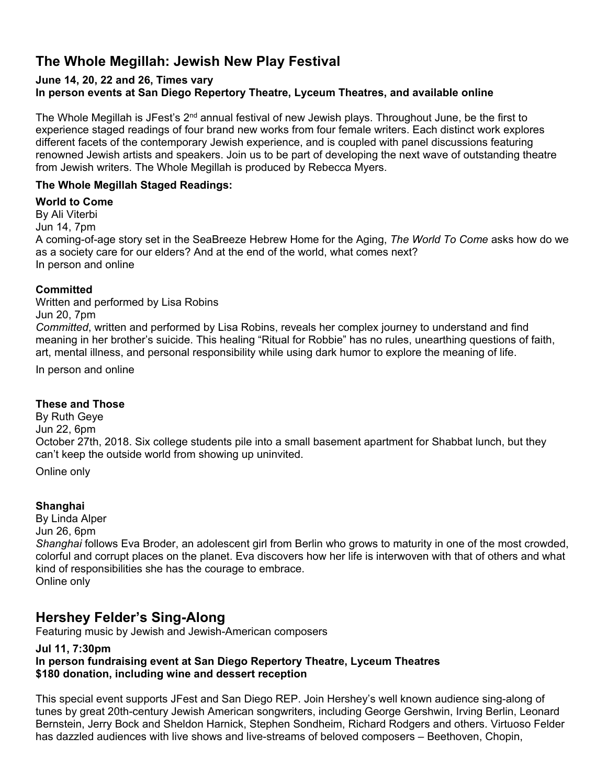# **The Whole Megillah: Jewish New Play Festival**

### **June 14, 20, 22 and 26, Times vary In person events at San Diego Repertory Theatre, Lyceum Theatres, and available online**

The Whole Megillah is JFest's 2<sup>nd</sup> annual festival of new Jewish plays. Throughout June, be the first to experience staged readings of four brand new works from four female writers. Each distinct work explores different facets of the contemporary Jewish experience, and is coupled with panel discussions featuring renowned Jewish artists and speakers. Join us to be part of developing the next wave of outstanding theatre from Jewish writers. The Whole Megillah is produced by Rebecca Myers.

### **The Whole Megillah Staged Readings:**

### **World to Come**

By Ali Viterbi Jun 14, 7pm A coming-of-age story set in the SeaBreeze Hebrew Home for the Aging, *The World To Come* asks how do we as a society care for our elders? And at the end of the world, what comes next? In person and online

### **Committed**

Written and performed by Lisa Robins Jun 20, 7pm *Committed*, written and performed by Lisa Robins, reveals her complex journey to understand and find meaning in her brother's suicide. This healing "Ritual for Robbie" has no rules, unearthing questions of faith, art, mental illness, and personal responsibility while using dark humor to explore the meaning of life.

In person and online

### **These and Those**

By Ruth Geye Jun 22, 6pm October 27th, 2018. Six college students pile into a small basement apartment for Shabbat lunch, but they can't keep the outside world from showing up uninvited.

Online only

### **Shanghai**

By Linda Alper Jun 26, 6pm *Shanghai* follows Eva Broder, an adolescent girl from Berlin who grows to maturity in one of the most crowded, colorful and corrupt places on the planet. Eva discovers how her life is interwoven with that of others and what kind of responsibilities she has the courage to embrace. Online only

## **Hershey Felder's Sing-Along**

Featuring music by Jewish and Jewish-American composers

#### **Jul 11, 7:30pm In person fundraising event at San Diego Repertory Theatre, Lyceum Theatres \$180 donation, including wine and dessert reception**

This special event supports JFest and San Diego REP. Join Hershey's well known audience sing-along of tunes by great 20th-century Jewish American songwriters, including George Gershwin, Irving Berlin, Leonard Bernstein, Jerry Bock and Sheldon Harnick, Stephen Sondheim, Richard Rodgers and others. Virtuoso Felder has dazzled audiences with live shows and live-streams of beloved composers – Beethoven, Chopin,